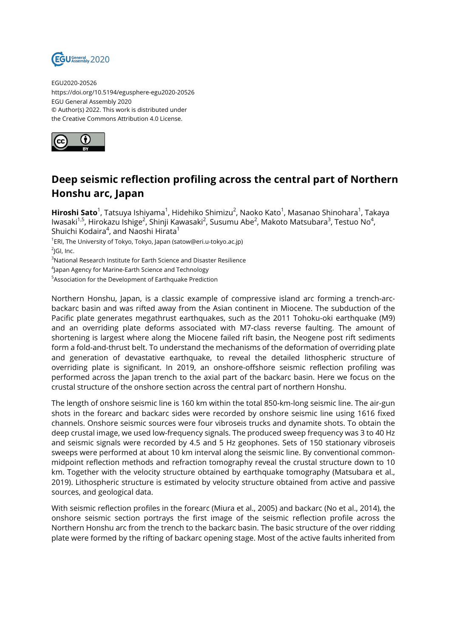

EGU2020-20526 https://doi.org/10.5194/egusphere-egu2020-20526 EGU General Assembly 2020 © Author(s) 2022. This work is distributed under the Creative Commons Attribution 4.0 License.



## **Deep seismic reflection profiling across the central part of Northern Honshu arc, Japan**

**Hiroshi Sato**<sup>1</sup>, Tatsuya Ishiyama<sup>1</sup>, Hidehiko Shimizu<sup>2</sup>, Naoko Kato<sup>1</sup>, Masanao Shinohara<sup>1</sup>, Takaya lwasaki $^{1,5}$ , Hirokazu Ishige $^2$ , Shinji Kawasaki $^2$ , Susumu Abe $^2$ , Makoto Matsubara $^3$ , Testuo No $^4$ , Shuichi Kodaira $^4$ , and Naoshi Hirata $^1$ 

1 ERI, The University of Tokyo, Tokyo, Japan (satow@eri.u-tokyo.ac.jp) <sup>2</sup>JGI, Inc.

<sup>3</sup>National Research Institute for Earth Science and Disaster Resilience

4 Japan Agency for Marine-Earth Science and Technology

<sup>5</sup>Association for the Development of Earthquake Prediction

Northern Honshu, Japan, is a classic example of compressive island arc forming a trench-arcbackarc basin and was rifted away from the Asian continent in Miocene. The subduction of the Pacific plate generates megathrust earthquakes, such as the 2011 Tohoku-oki earthquake (M9) and an overriding plate deforms associated with M7-class reverse faulting. The amount of shortening is largest where along the Miocene failed rift basin, the Neogene post rift sediments form a fold-and-thrust belt. To understand the mechanisms of the deformation of overriding plate and generation of devastative earthquake, to reveal the detailed lithospheric structure of overriding plate is significant. In 2019, an onshore-offshore seismic reflection profiling was performed across the Japan trench to the axial part of the backarc basin. Here we focus on the crustal structure of the onshore section across the central part of northern Honshu.

The length of onshore seismic line is 160 km within the total 850-km-long seismic line. The air-gun shots in the forearc and backarc sides were recorded by onshore seismic line using 1616 fixed channels. Onshore seismic sources were four vibroseis trucks and dynamite shots. To obtain the deep crustal image, we used low-frequency signals. The produced sweep frequency was 3 to 40 Hz and seismic signals were recorded by 4.5 and 5 Hz geophones. Sets of 150 stationary vibroseis sweeps were performed at about 10 km interval along the seismic line. By conventional commonmidpoint reflection methods and refraction tomography reveal the crustal structure down to 10 km. Together with the velocity structure obtained by earthquake tomography (Matsubara et al., 2019). Lithospheric structure is estimated by velocity structure obtained from active and passive sources, and geological data.

With seismic reflection profiles in the forearc (Miura et al., 2005) and backarc (No et al., 2014), the onshore seismic section portrays the first image of the seismic reflection profile across the Northern Honshu arc from the trench to the backarc basin. The basic structure of the over ridding plate were formed by the rifting of backarc opening stage. Most of the active faults inherited from